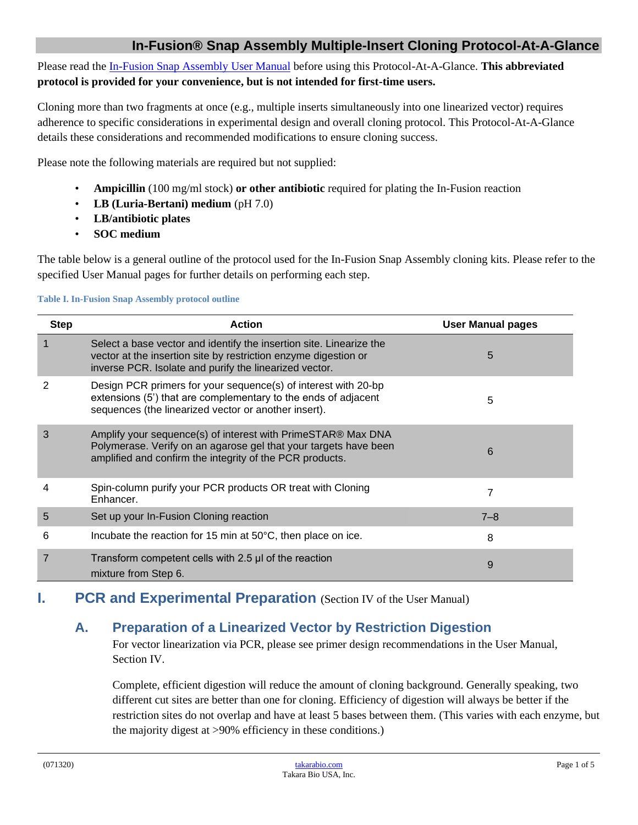Please read th[e In-Fusion Snap Assembly](http://www.takarabio.com/resourcedocument/xID) User Manual before using this Protocol-At-A-Glance. **This abbreviated protocol is provided for your convenience, but is not intended for first-time users.**

Cloning more than two fragments at once (e.g., multiple inserts simultaneously into one linearized vector) requires adherence to specific considerations in experimental design and overall cloning protocol. This Protocol-At-A-Glance details these considerations and recommended modifications to ensure cloning success.

Please note the following materials are required but not supplied:

- **Ampicillin** (100 mg/ml stock) **or other antibiotic** required for plating the In-Fusion reaction
- **LB (Luria-Bertani) medium** (pH 7.0)
- **LB/antibiotic plates**
- **SOC medium**

The table below is a general outline of the protocol used for the In-Fusion Snap Assembly cloning kits. Please refer to the specified User Manual pages for further details on performing each step.

#### **Table I. In-Fusion Snap Assembly protocol outline**

| <b>Step</b> | <b>Action</b>                                                                                                                                                                                    | <b>User Manual pages</b> |
|-------------|--------------------------------------------------------------------------------------------------------------------------------------------------------------------------------------------------|--------------------------|
|             | Select a base vector and identify the insertion site. Linearize the<br>vector at the insertion site by restriction enzyme digestion or<br>inverse PCR. Isolate and purify the linearized vector. | 5                        |
|             | Design PCR primers for your sequence(s) of interest with 20-bp<br>extensions (5') that are complementary to the ends of adjacent<br>sequences (the linearized vector or another insert).         | 5                        |
| 3           | Amplify your sequence(s) of interest with PrimeSTAR® Max DNA<br>Polymerase. Verify on an agarose gel that your targets have been<br>amplified and confirm the integrity of the PCR products.     | 6                        |
| 4           | Spin-column purify your PCR products OR treat with Cloning<br>Enhancer.                                                                                                                          | 7                        |
| 5           | Set up your In-Fusion Cloning reaction                                                                                                                                                           | $7 - 8$                  |
| 6           | Incubate the reaction for 15 min at 50°C, then place on ice.                                                                                                                                     | 8                        |
|             | Transform competent cells with 2.5 µl of the reaction<br>mixture from Step 6.                                                                                                                    | 9                        |

# **I. PCR and Experimental Preparation** (Section IV of the User Manual)

# **A. Preparation of a Linearized Vector by Restriction Digestion**

For vector linearization via PCR, please see primer design recommendations in the User Manual, Section IV.

Complete, efficient digestion will reduce the amount of cloning background. Generally speaking, two different cut sites are better than one for cloning. Efficiency of digestion will always be better if the restriction sites do not overlap and have at least 5 bases between them. (This varies with each enzyme, but the majority digest at >90% efficiency in these conditions.)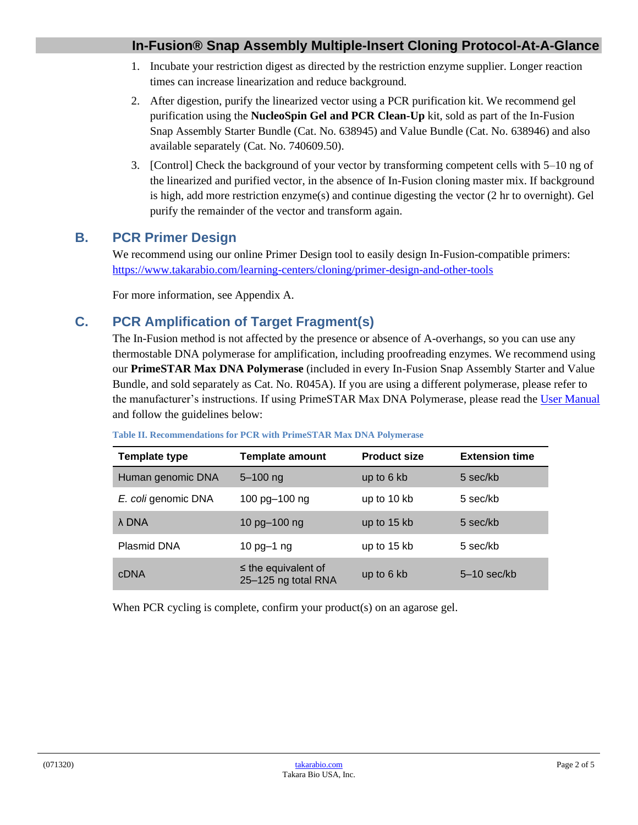- 1. Incubate your restriction digest as directed by the restriction enzyme supplier. Longer reaction times can increase linearization and reduce background.
- 2. After digestion, purify the linearized vector using a PCR purification kit. We recommend gel purification using the **NucleoSpin Gel and PCR Clean-Up** kit, sold as part of the In-Fusion Snap Assembly Starter Bundle (Cat. No. 638945) and Value Bundle (Cat. No. 638946) and also available separately (Cat. No. 740609.50).
- 3. [Control] Check the background of your vector by transforming competent cells with 5–10 ng of the linearized and purified vector, in the absence of In-Fusion cloning master mix. If background is high, add more restriction enzyme(s) and continue digesting the vector (2 hr to overnight). Gel purify the remainder of the vector and transform again.

## **B. PCR Primer Design**

We recommend using our online Primer Design tool to easily design In-Fusion-compatible primers: <https://www.takarabio.com/learning-centers/cloning/primer-design-and-other-tools>

For more information, see Appendix A.

# **C. PCR Amplification of Target Fragment(s)**

The In-Fusion method is not affected by the presence or absence of A-overhangs, so you can use any thermostable DNA polymerase for amplification, including proofreading enzymes. We recommend using our **PrimeSTAR Max DNA Polymerase** (included in every In-Fusion Snap Assembly Starter and Value Bundle, and sold separately as Cat. No. R045A). If you are using a different polymerase, please refer to the manufacturer's instructions. If using PrimeSTAR Max DNA Polymerase, please read the [User Manual](http://www.takarabio.com/resourcedocument/x32961) and follow the guidelines below:

| Template type       | <b>Template amount</b>                          | <b>Product size</b> | <b>Extension time</b> |
|---------------------|-------------------------------------------------|---------------------|-----------------------|
| Human genomic DNA   | $5 - 100$ ng                                    | up to 6 kb          | 5 sec/kb              |
| E. coli genomic DNA | 100 pg-100 ng                                   | up to 10 kb         | 5 sec/kb              |
| λ DNA               | 10 pg-100 ng                                    | up to 15 kb         | 5 sec/kb              |
| Plasmid DNA         | 10 $pg-1$ ng                                    | up to 15 kb         | 5 sec/kb              |
| <b>CDNA</b>         | $\leq$ the equivalent of<br>25-125 ng total RNA | up to 6 kb          | $5-10$ sec/kb         |

#### **Table II. Recommendations for PCR with PrimeSTAR Max DNA Polymerase**

When PCR cycling is complete, confirm your product(s) on an agarose gel.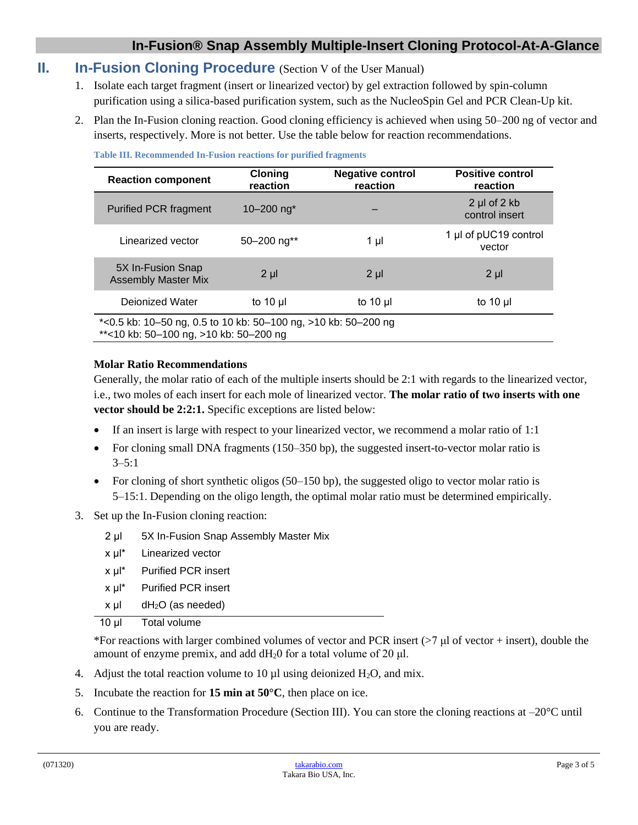### **II. In-Fusion Cloning Procedure** (Section V of the User Manual)

- 1. Isolate each target fragment (insert or linearized vector) by gel extraction followed by spin-column purification using a silica-based purification system, such as the NucleoSpin Gel and PCR Clean-Up kit.
- 2. Plan the In-Fusion cloning reaction. Good cloning efficiency is achieved when using 50–200 ng of vector and inserts, respectively. More is not better. Use the table below for reaction recommendations.

| <b>Reaction component</b>                                                                                | <b>Cloning</b><br>reaction | <b>Negative control</b><br>reaction | <b>Positive control</b><br>reaction     |  |  |
|----------------------------------------------------------------------------------------------------------|----------------------------|-------------------------------------|-----------------------------------------|--|--|
| <b>Purified PCR fragment</b>                                                                             | 10 $-200$ ng <sup>*</sup>  |                                     | $2 \mu$ of $2 \kappa$<br>control insert |  |  |
| Linearized vector                                                                                        | $50 - 200$ ng**            | 1 µI                                | 1 µl of pUC19 control<br>vector         |  |  |
| 5X In-Fusion Snap<br><b>Assembly Master Mix</b>                                                          | $2 \mu$                    | $2 \mu$                             | $2 \mu$                                 |  |  |
| Dejonized Water                                                                                          | to $10 \mu$                | to 10 $\mu$                         | to 10 $\mu$                             |  |  |
| *<0.5 kb: 10-50 ng, 0.5 to 10 kb: 50-100 ng, >10 kb: 50-200 ng<br>**<10 kb: 50-100 ng, >10 kb: 50-200 ng |                            |                                     |                                         |  |  |

**Table III. Recommended In-Fusion reactions for purified fragments**

#### **Molar Ratio Recommendations**

Generally, the molar ratio of each of the multiple inserts should be 2:1 with regards to the linearized vector, i.e., two moles of each insert for each mole of linearized vector. **The molar ratio of two inserts with one vector should be 2:2:1.** Specific exceptions are listed below:

- If an insert is large with respect to your linearized vector, we recommend a molar ratio of 1:1
- For cloning small DNA fragments (150–350 bp), the suggested insert-to-vector molar ratio is 3–5:1
- For cloning of short synthetic oligos (50–150 bp), the suggested oligo to vector molar ratio is 5–15:1. Depending on the oligo length, the optimal molar ratio must be determined empirically.
- 3. Set up the In-Fusion cloning reaction:

- x μl\* Linearized vector
- x μl\* Purified PCR insert
- x μl\* Purified PCR insert
- $x \mu$ l dH<sub>2</sub>O (as needed)

10 μl Total volume

\*For reactions with larger combined volumes of vector and PCR insert ( $>7 \mu$  of vector + insert), double the amount of enzyme premix, and add  $dH_20$  for a total volume of 20  $\mu$ l.

- 4. Adjust the total reaction volume to 10  $\mu$ l using deionized H<sub>2</sub>O, and mix.
- 5. Incubate the reaction for **15 min at 50°C**, then place on ice.
- 6. Continue to the Transformation Procedure (Section III). You can store the cloning reactions at  $-20^{\circ}$ C until you are ready.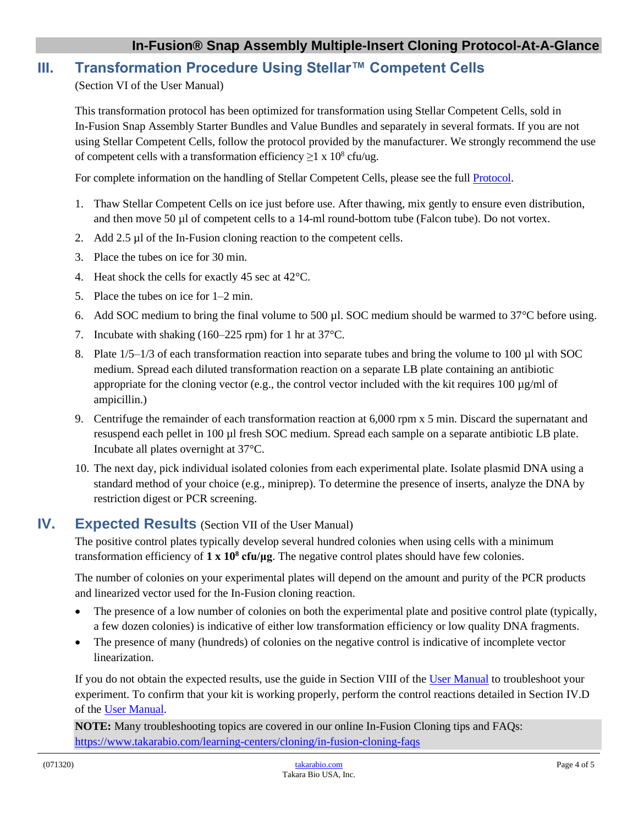## **III. Transformation Procedure Using Stellar™ Competent Cells**

(Section VI of the User Manual)

This transformation protocol has been optimized for transformation using Stellar Competent Cells, sold in In-Fusion Snap Assembly Starter Bundles and Value Bundles and separately in several formats. If you are not using Stellar Competent Cells, follow the protocol provided by the manufacturer. We strongly recommend the use of competent cells with a transformation efficiency  $\geq 1 \times 10^8$  cfu/ug.

For complete information on the handling of Stellar Competent Cells, please see the full [Protocol.](http://www.clontech.com/xxclt_ibcGetAttachment.jsp?cItemId=17313)

- 1. Thaw Stellar Competent Cells on ice just before use. After thawing, mix gently to ensure even distribution, and then move 50 µl of competent cells to a 14-ml round-bottom tube (Falcon tube). Do not vortex.
- 2. Add 2.5 µl of the In-Fusion cloning reaction to the competent cells.
- 3. Place the tubes on ice for 30 min.
- 4. Heat shock the cells for exactly 45 sec at 42°C.
- 5. Place the tubes on ice for 1–2 min.
- 6. Add SOC medium to bring the final volume to 500 µl. SOC medium should be warmed to 37°C before using.
- 7. Incubate with shaking (160–225 rpm) for 1 hr at 37°C.
- 8. Plate  $1/5-1/3$  of each transformation reaction into separate tubes and bring the volume to 100 µl with SOC medium. Spread each diluted transformation reaction on a separate LB plate containing an antibiotic appropriate for the cloning vector (e.g., the control vector included with the kit requires 100  $\mu$ g/ml of ampicillin.)
- 9. Centrifuge the remainder of each transformation reaction at 6,000 rpm x 5 min. Discard the supernatant and resuspend each pellet in 100 µl fresh SOC medium. Spread each sample on a separate antibiotic LB plate. Incubate all plates overnight at 37°C.
- 10. The next day, pick individual isolated colonies from each experimental plate. Isolate plasmid DNA using a standard method of your choice (e.g., miniprep). To determine the presence of inserts, analyze the DNA by restriction digest or PCR screening.

### **IV. Expected Results** (Section VII of the User Manual)

The positive control plates typically develop several hundred colonies when using cells with a minimum transformation efficiency of **1 x 10<sup>8</sup> cfu/μg**. The negative control plates should have few colonies.

The number of colonies on your experimental plates will depend on the amount and purity of the PCR products and linearized vector used for the In-Fusion cloning reaction.

- The presence of a low number of colonies on both the experimental plate and positive control plate (typically, a few dozen colonies) is indicative of either low transformation efficiency or low quality DNA fragments.
- The presence of many (hundreds) of colonies on the negative control is indicative of incomplete vector linearization.

If you do not obtain the expected results, use the guide in Section VIII of the [User Manual](http://www.clontech.com/xxclt_ibcGetAttachment.jsp?cItemId=17497) to troubleshoot your experiment. To confirm that your kit is working properly, perform the control reactions detailed in Section IV.D of the [User Manual.](http://www.clontech.com/xxclt_ibcGetAttachment.jsp?cItemId=17497)

**NOTE:** Many troubleshooting topics are covered in our online In-Fusion Cloning tips and FAQs: <https://www.takarabio.com/learning-centers/cloning/in-fusion-cloning-faqs>